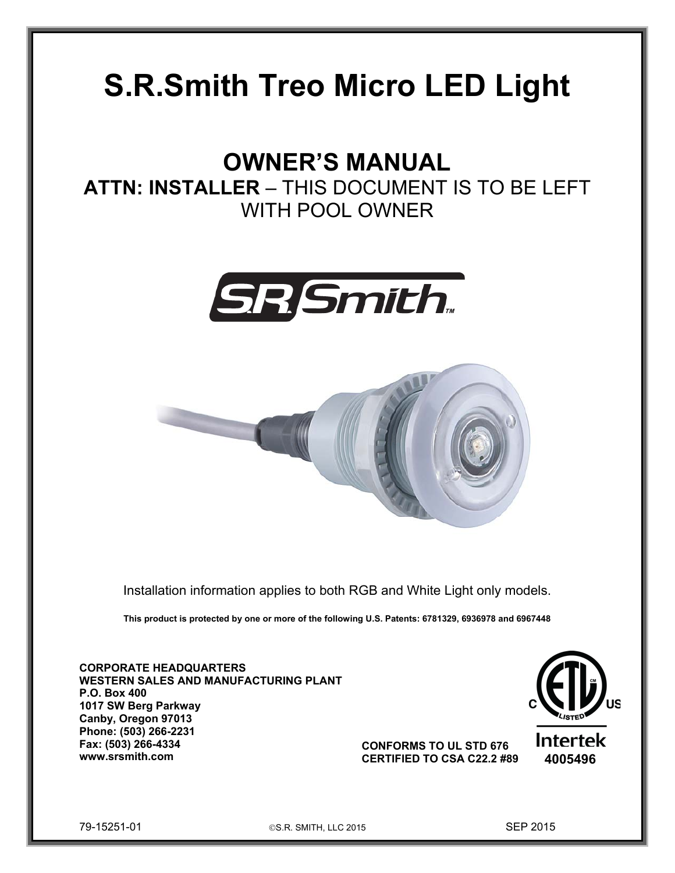# **S.R.Smith Treo Micro LED Light**

## **OWNER'S MANUAL**

**ATTN: INSTALLER** – THIS DOCUMENT IS TO BE LEFT WITH POOL OWNER





Installation information applies to both RGB and White Light only models.

**This product is protected by one or more of the following U.S. Patents: 6781329, 6936978 and 6967448**

**CORPORATE HEADQUARTERS WESTERN SALES AND MANUFACTURING PLANT P.O. Box 400 1017 SW Berg Parkway Canby, Oregon 97013 Phone: (503) 266-2231 Fax: (503) 266-4334 www.srsmith.com 4005496 CERTIFIED TO CSA C22.2 #89**



**CONFORMS TO UL STD 676** 



79-15251-01 S.R. SMITH, LLC 2015 SEP 2015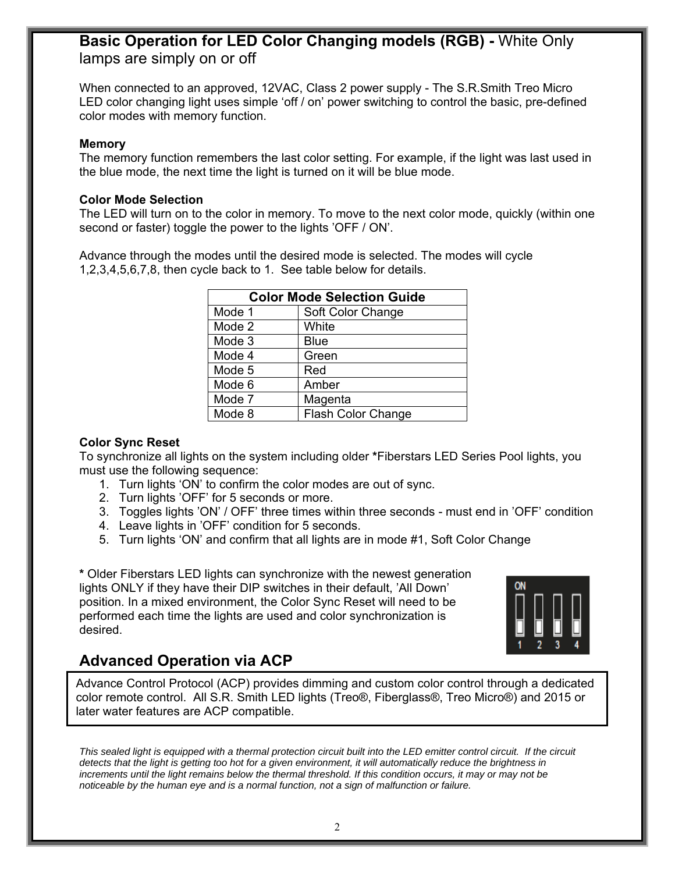### **Basic Operation for LED Color Changing models (RGB) -** White Only lamps are simply on or off

When connected to an approved, 12VAC, Class 2 power supply - The S.R.Smith Treo Micro LED color changing light uses simple 'off / on' power switching to control the basic, pre-defined color modes with memory function.

#### **Memory**

The memory function remembers the last color setting. For example, if the light was last used in the blue mode, the next time the light is turned on it will be blue mode.

#### **Color Mode Selection**

The LED will turn on to the color in memory. To move to the next color mode, quickly (within one second or faster) toggle the power to the lights 'OFF / ON'.

Advance through the modes until the desired mode is selected. The modes will cycle 1,2,3,4,5,6,7,8, then cycle back to 1. See table below for details.

| <b>Color Mode Selection Guide</b> |                           |
|-----------------------------------|---------------------------|
| Mode 1                            | Soft Color Change         |
| Mode 2                            | White                     |
| Mode 3                            | <b>Blue</b>               |
| Mode 4                            | Green                     |
| Mode 5                            | Red                       |
| Mode 6                            | Amber                     |
| Mode 7                            | Magenta                   |
| Mode 8                            | <b>Flash Color Change</b> |

#### **Color Sync Reset**

To synchronize all lights on the system including older **\***Fiberstars LED Series Pool lights, you must use the following sequence:

- 1. Turn lights 'ON' to confirm the color modes are out of sync.
- 2. Turn lights 'OFF' for 5 seconds or more.
- 3. Toggles lights 'ON' / OFF' three times within three seconds must end in 'OFF' condition
- 4. Leave lights in 'OFF' condition for 5 seconds.
- 5. Turn lights 'ON' and confirm that all lights are in mode #1, Soft Color Change

**\*** Older Fiberstars LED lights can synchronize with the newest generation lights ONLY if they have their DIP switches in their default, 'All Down' position. In a mixed environment, the Color Sync Reset will need to be performed each time the lights are used and color synchronization is desired.



## **Advanced Operation via ACP**

Advance Control Protocol (ACP) provides dimming and custom color control through a dedicated color remote control. All S.R. Smith LED lights (Treo®, Fiberglass®, Treo Micro®) and 2015 or later water features are ACP compatible.

This sealed light is equipped with a thermal protection circuit built into the LED emitter control circuit. If the circuit *detects that the light is getting too hot for a given environment, it will automatically reduce the brightness in*  increments until the light remains below the thermal threshold. If this condition occurs, it may or may not be *noticeable by the human eye and is a normal function, not a sign of malfunction or failure.*